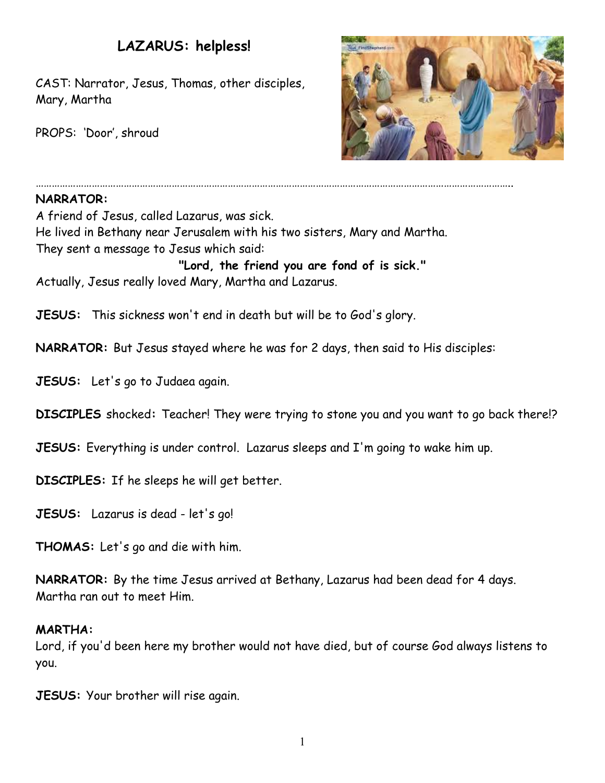# **LAZARUS: helpless!**

CAST: Narrator, Jesus, Thomas, other disciples, Mary, Martha

PROPS: 'Door', shroud



## **NARRATOR:**

A friend of Jesus, called Lazarus, was sick. He lived in Bethany near Jerusalem with his two sisters, Mary and Martha. They sent a message to Jesus which said: **"Lord, the friend you are fond of is sick."** Actually, Jesus really loved Mary, Martha and Lazarus.

**JESUS:** This sickness won't end in death but will be to God's glory.

**NARRATOR:** But Jesus stayed where he was for 2 days, then said to His disciples:

……………………………………………………………………………………………………………………………………………………………..

**JESUS:** Let's go to Judaea again.

**DISCIPLES** shocked**:** Teacher! They were trying to stone you and you want to go back there!?

**JESUS:** Everything is under control. Lazarus sleeps and I'm going to wake him up.

**DISCIPLES:** If he sleeps he will get better.

**JESUS:** Lazarus is dead - let's go!

**THOMAS:** Let's go and die with him.

**NARRATOR:** By the time Jesus arrived at Bethany, Lazarus had been dead for 4 days. Martha ran out to meet Him.

#### **MARTHA:**

Lord, if you'd been here my brother would not have died, but of course God always listens to you.

**JESUS:** Your brother will rise again.

1